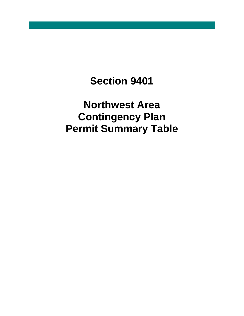## **Section 9401**

**Northwest Area Contingency Plan Permit Summary Table**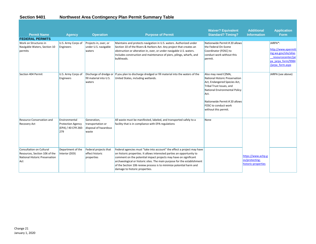## **Section 9401 Northwest Area Contingency Plan Permit Summary Table**

| <b>Permit Name</b><br><b>FEDERAL PERMITS</b>                                                       | <b>Agency</b>                                                           | <b>Operation</b>                                                   | <b>Purpose of Permit</b>                                                                                                                                                                                                                                                                                                                                                                                   | <b>Waiver? Equivalent</b><br><b>Standard? Timing?</b>                                                                                                                                                                                              | <b>Additional</b><br><b>Information</b>                     | <b>Application</b><br><b>Form</b>                                                                                       |
|----------------------------------------------------------------------------------------------------|-------------------------------------------------------------------------|--------------------------------------------------------------------|------------------------------------------------------------------------------------------------------------------------------------------------------------------------------------------------------------------------------------------------------------------------------------------------------------------------------------------------------------------------------------------------------------|----------------------------------------------------------------------------------------------------------------------------------------------------------------------------------------------------------------------------------------------------|-------------------------------------------------------------|-------------------------------------------------------------------------------------------------------------------------|
| Work on Structures in<br>Navigable Waters, Section 10<br>permits                                   | U.S. Army Corps of<br>Engineers                                         | Projects in, over, or<br>under U.S. navigable<br>waters            | Maintains and protects navigation in U.S. waters. Authorized under<br>Section 10 of the Rivers & Harbors Act. Any project that creates an<br>obstruction or alteration in, over, or under navigable U.S. waters.<br>Includes construction and maintenance of piers, pilings, wharfs, and<br>bulkheads.                                                                                                     | Nationwide Permit # 20 allows<br>the Federal On-Scene<br>Coordinator (FOSC) to<br>conduct work without this<br>permit.                                                                                                                             |                                                             | JARPA*:<br>http://www.epermitt<br>ing.wa.gov/site/alias<br>resourcecenter/jar<br>pa jarpa form/9984<br>/jarpa form.aspx |
| Section 404 Permit                                                                                 | U.S. Army Corps of<br>Engineers                                         | Discharge of dredge or<br>fill material into U.S.<br>waters        | If you plan to discharge dredged or fill material into the waters of the<br>United States, including wetlands.                                                                                                                                                                                                                                                                                             | Also may need CZMA,<br><b>National Historic Preservation</b><br>Act, Endangered Species Act,<br>Tribal Trust Issues, and<br>National Environmental Policy<br>Act.<br>Nationwide Permit # 20 allows<br>FOSC to conduct work<br>without this permit. |                                                             | JARPA (see above)                                                                                                       |
| <b>Resource Conservation and</b><br><b>Recovery Act</b>                                            | Environmental<br><b>Protection Agency</b><br>(EPA) / 40 CFR 260-<br>279 | Generation,<br>transportation or<br>disposal of hazardous<br>waste | All waste must be manifested, labeled, and transported safely to a<br>facility that is in compliance with EPA regulations                                                                                                                                                                                                                                                                                  | None                                                                                                                                                                                                                                               |                                                             |                                                                                                                         |
| Consultation on Cultural<br>Resources, Section 106 of the<br>National Historic Preservation<br>Act | Department of the<br>Interior (DOI)                                     | Federal projects that<br>effect historic<br>properties             | Federal agencies must "take into account" the effect a project may have<br>on historic properties. It allows interested parties an opportunity to<br>comment on the potential impact projects may have on significant<br>archaeological or historic sites. The main purpose for the establishment<br>of the Section 106 review process is to minimize potential harm and<br>damage to historic properties. |                                                                                                                                                                                                                                                    | https://www.achp.g<br>ov/protecting-<br>historic-properties |                                                                                                                         |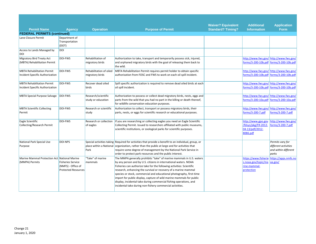|                                                                      |                                                                              |                                            |                                                                                                                                                                                                                                                                                                                                                                                                                                                                                                                                                                         | <b>Waiver? Equivalent</b> | <b>Additional</b>                                                        | <b>Application</b>                                                                 |
|----------------------------------------------------------------------|------------------------------------------------------------------------------|--------------------------------------------|-------------------------------------------------------------------------------------------------------------------------------------------------------------------------------------------------------------------------------------------------------------------------------------------------------------------------------------------------------------------------------------------------------------------------------------------------------------------------------------------------------------------------------------------------------------------------|---------------------------|--------------------------------------------------------------------------|------------------------------------------------------------------------------------|
| <b>Permit Name</b>                                                   | <b>Agency</b>                                                                | <b>Operation</b>                           | <b>Purpose of Permit</b>                                                                                                                                                                                                                                                                                                                                                                                                                                                                                                                                                | <b>Standard? Timing?</b>  | <b>Information</b>                                                       | <b>Form</b>                                                                        |
| <b>FEDERAL PERMITS (continued)</b>                                   |                                                                              |                                            |                                                                                                                                                                                                                                                                                                                                                                                                                                                                                                                                                                         |                           |                                                                          |                                                                                    |
| Lane Closure Permit                                                  | Department of<br>Transportation<br>(DOT)                                     |                                            |                                                                                                                                                                                                                                                                                                                                                                                                                                                                                                                                                                         |                           |                                                                          |                                                                                    |
| Access to Lands Managed by<br>DOI                                    | <b>DOI</b>                                                                   |                                            |                                                                                                                                                                                                                                                                                                                                                                                                                                                                                                                                                                         |                           |                                                                          |                                                                                    |
| Migratory Bird Treaty Act<br>(MBTA) Rehabilitation Permit            | <b>DOI-FWS</b>                                                               | Rehabilitation of<br>migratory birds       | Authorization to take, transport and temporarily possess sick, injured,<br>and orphaned migratory birds with the goal of releasing them back to<br>the wild.                                                                                                                                                                                                                                                                                                                                                                                                            |                           |                                                                          | http://www.fws.gov/ http://www.fws.gov/<br>forms/3-200-10b.pdf forms/3-200-10b.pdf |
| <b>MBTA Rehabilitation Permit</b><br>Incident Specific Authorization | DOI-FWS                                                                      | Rehabilitation of oiled<br>migratory birds | MBTA Rehabilitation Permit requires permit holder to obtain specific<br>authorization from FOSC and FWS to work on each oil spill incident.                                                                                                                                                                                                                                                                                                                                                                                                                             |                           |                                                                          | http://www.fws.gov/http://www.fws.gov/<br>forms/3-200-10b.pdf forms/3-200-10b.pdf  |
| <b>MBTA Rehabilitation Permit</b><br>Incident Specific Authorization | <b>DOI-FWS</b>                                                               | Recover dead oiled<br>birds                | Spill specific authorization is required to remove dead oiled birds at each<br>oil spill incident.                                                                                                                                                                                                                                                                                                                                                                                                                                                                      |                           | forms/3-200-10b.pdf forms/3-200-10b.pdf                                  | http://www.fws.gov/ http://www.fws.gov/                                            |
| <b>MBTA Special Purpose Salvage</b>                                  | DOI-FWS                                                                      | Research/scientific<br>study or education  | Authorization to possess or collect dead migratory birds, nests, eggs and<br>parts from the wild that you had no part in the killing or death thereof,<br>for wildlife conservation education purposes.                                                                                                                                                                                                                                                                                                                                                                 |                           | forms/3-200-10a.pdf forms/3-200-10a.pdf                                  | http://www.fws.gov/ http://www.fws.gov/                                            |
| <b>MBTA Scientific Collecting</b><br>Permit                          | <b>DOI-FWS</b>                                                               | Research or scientific<br>study            | Authorization to collect, transport or possess migratory birds, their<br>parts, nests, or eggs for scientific research or educational purposes.                                                                                                                                                                                                                                                                                                                                                                                                                         |                           | http://www.fws.gov/ http://www.fws.gov/<br>forms/3-200-7.pdf             | forms/3-200-7.pdf                                                                  |
| Eagle Scientific<br><b>Collecting/Research Permit</b>                | <b>DOI-FWS</b>                                                               | Research or collection<br>of eagles        | If you are researching or collecting eagles you need an Eagle Scientific<br>Collecting Permit. Issued to researchers affiliated with public museums,<br>scientific institutions, or zoological parks for scientific purposes.                                                                                                                                                                                                                                                                                                                                           |                           | http://www.gpo.gov<br>/fdsys/pkg/FR-2012-<br>04-13/pdf/2012-<br>8086.pdf | http://www.fws.gov/<br>forms/3-200-7.pdf                                           |
| National Park Special Use<br>Purpose                                 | <b>DOI-NPS</b>                                                               | Park                                       | Special activities taking Required for activities that provide a benefit to an individual, group, or<br>place within a National organization, rather than the public at large and for activities that<br>require some degree of management by the National Park Service in<br>order to protect park resources and the public interest.                                                                                                                                                                                                                                  |                           |                                                                          | Permits vary for<br>different activities<br>and within different<br>parks          |
| Marine Mammal Protection Act National Marine<br>(MMPA) Permits       | <b>Fisheries Service</b><br>(NMFS) - Office of<br><b>Protected Resources</b> | "Take" of marine<br>mammals                | The MMPA generally prohibits "take" of marine mammals in U.S. waters<br>by any person and by U.S. citizens in international waters. NOAA<br>Fisheries can authorize take for the following activities: Scientific<br>research, enhancing the survival or recovery of a marine mammal<br>species or stock, commercial and educational photography, first-time<br>import for public display, capture of wild marine mammals for public<br>display, incidental take during commercial fishing operations, and<br>incidental take during non-fishery commercial activities. |                           | s.noaa.gov/topic/ma<br>rine-mammal-<br>protection                        | https://www.fisherie https://apps.nmfs.no<br>aa.gov/                               |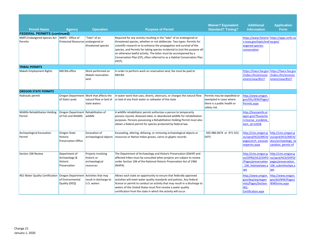|                                                                       |                                                             |                                                                                   |                                                                                                                                                                                                                                                                                                                                                                                                                                                                     | <b>Waiver? Equivalent</b>                                                                             | <b>Additional</b>                                                                           | <b>Application</b>                                                                                 |
|-----------------------------------------------------------------------|-------------------------------------------------------------|-----------------------------------------------------------------------------------|---------------------------------------------------------------------------------------------------------------------------------------------------------------------------------------------------------------------------------------------------------------------------------------------------------------------------------------------------------------------------------------------------------------------------------------------------------------------|-------------------------------------------------------------------------------------------------------|---------------------------------------------------------------------------------------------|----------------------------------------------------------------------------------------------------|
| <b>Permit Name</b>                                                    | <b>Agency</b>                                               | <b>Operation</b>                                                                  | <b>Purpose of Permit</b>                                                                                                                                                                                                                                                                                                                                                                                                                                            | <b>Standard? Timing?</b>                                                                              | <b>Information</b>                                                                          | <b>Form</b>                                                                                        |
| <b>FEDERAL PERMITS (continued)</b>                                    |                                                             |                                                                                   |                                                                                                                                                                                                                                                                                                                                                                                                                                                                     |                                                                                                       |                                                                                             |                                                                                                    |
| NMFS Endangered Species Act NMFS - Office of<br>Permits               | Protected Resources endangered or                           | 'Take" of an<br>threatened species                                                | Required for any activity resulting in the "take" of an endangered or<br>threatened species, whether or not deliberate. Two types: Permits for<br>scientific research or to enhance the propagation and survival of the<br>species, and Permits for taking species incidental to (not the purpose of)<br>an otherwise lawful activity. The latter must be accompanied by a<br>Conservation Plan (CP), often referred to as a Habitat Conservation Plan<br>$(HCP)$ . |                                                                                                       | s.noaa.gov/topic/end aa.gov/<br>angered-species-<br>conservation                            | https://www.fisherie https://apps.nmfs.no                                                          |
| <b>TRIBAL PERMITS</b>                                                 |                                                             |                                                                                   |                                                                                                                                                                                                                                                                                                                                                                                                                                                                     |                                                                                                       |                                                                                             |                                                                                                    |
| <b>Makah Employment Rights</b>                                        | <b>MECRA</b> office                                         | Work performed on<br>Makah reservation<br>land                                    | In order to perform work on reservation land, fee must be paid to<br><b>MECRA</b>                                                                                                                                                                                                                                                                                                                                                                                   |                                                                                                       | /index.cfm/announc<br>ement/view/8527                                                       | https://faaco.faa.gov https://faaco.faa.gov<br>/index.cfm/announc<br>ement/view/8527               |
| <b>OREGON STATE PERMITS</b>                                           |                                                             |                                                                                   |                                                                                                                                                                                                                                                                                                                                                                                                                                                                     |                                                                                                       |                                                                                             |                                                                                                    |
| <b>Hydraulic permit</b>                                               | of State Lands                                              | Oregon Department Work that affects the<br>natural flow or bed of<br>state waters | In water work that uses, diverts, obstructs, or changes the natural flow<br>or bed of any fresh water or saltwater of the state                                                                                                                                                                                                                                                                                                                                     | Permits may be expedited or<br>exempted in cases where<br>there is a public health or<br>safety risk. | http://www.oregon.<br>gov/DSL/WW/Pages/<br>Permits.aspx                                     |                                                                                                    |
| <b>Wildlife Rehabilitation Holding</b><br>Permit                      | Oregon Department Rehabilitation of<br>of Fish and Wildlife | wildlife                                                                          | A wildlife rehabilitator permit authorizes a person to temporarily<br>possess injured, diseased oiled, or abandoned wildlife for rehabilitation<br>purposes. Persons possessing a Rehabilitation Holding Permit must also<br>obtain a federal permit for species protected by federal law.                                                                                                                                                                          |                                                                                                       | http://licenseinfo.or<br>egon.gov/?fuseactio<br>n=license icon&link<br>item id=14358        |                                                                                                    |
| Archaeological Excavation<br>Permit'                                  | Oregon State<br>Historic<br><b>Preservation Office</b>      | Excavation of<br>archaeological objects                                           | Excavating, altering, defacing, or removing archaeological objects or<br>resources or Native Indian graves, cairns or glyptic records.                                                                                                                                                                                                                                                                                                                              | 503-986-0674 or 971-322-<br>5975                                                                      | http://cms.oregon.g<br>ov/oprd/HCD/ARCH/<br>pages/arch excavati<br>onperms.aspx             | http://cms.oregon.g<br>ov/oprd/HCD/ARCH/<br>docs/archaeology ex<br>cavation permit.rtf             |
| Section 106 Review                                                    | Department of<br>Archaeology &<br>Historic<br>Preservation  | Projects involving<br>historic or<br>archaeological<br>resources                  | The Department of Archaeology and Historic Preservation (DAHP) and<br>affected tribes must be consulted when projects are subject to review<br>under Section 106 of the National Historic Preservation Act of 1966<br>(NHPA).                                                                                                                                                                                                                                       |                                                                                                       | http://cms.oregon.g<br>ov/OPRD/HCD/SHPO<br>/Pages/preservation<br>106 fedstatelaws.a<br>spx | http://cms.oregon.g<br>ov/oprd/HCD/SHPO/<br>pages/preservation<br>106 submittoshpo.a<br><b>spx</b> |
| 401 Water Quality Certification Oregon Department Activities that may | of Environmental<br>Quality (DEQ)                           | result in discharge to<br>U.S. waters                                             | Allows each state an opportunity to ensure that federally approved<br>activities will meet water quality standards and policies. Any federal<br>license or permit to conduct an activity that may result in a discharge to<br>waters of the United States must first receive a water quality<br>certification from the state in which the activity will occur.                                                                                                      |                                                                                                       | http://www.oregon.<br>gov/deg/wg/wgper<br>mits/Pages/Section-<br>401-<br>Certification.aspx | http://www.oregon.<br>gov/dsl/WW/Pages/<br><b>WWforms.aspx</b>                                     |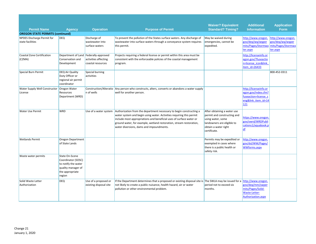|                                                               |                                                                                                                |                                                   |                                                                                                                                                                                                                                                                                                                                       | <b>Waiver? Equivalent</b>                                                                                                                             | <b>Additional</b>                                                                                  | <b>Application</b>                                                       |
|---------------------------------------------------------------|----------------------------------------------------------------------------------------------------------------|---------------------------------------------------|---------------------------------------------------------------------------------------------------------------------------------------------------------------------------------------------------------------------------------------------------------------------------------------------------------------------------------------|-------------------------------------------------------------------------------------------------------------------------------------------------------|----------------------------------------------------------------------------------------------------|--------------------------------------------------------------------------|
| <b>Permit Name</b><br><b>OREGON STATE PERMITS (continued)</b> | <b>Agency</b>                                                                                                  | <b>Operation</b>                                  | <b>Purpose of Permit</b>                                                                                                                                                                                                                                                                                                              | <b>Standard? Timing?</b>                                                                                                                              | <b>Information</b>                                                                                 | <b>Form</b>                                                              |
| <b>NPDES Discharge Permit for</b><br>state facilities         | <b>DEQ</b>                                                                                                     | Discharge of<br>wastewater into<br>surface waters | To prevent the pollution of the States surface waters. Any discharge of<br>wastewater into surface waters through a conveyance system requires<br>this permit.                                                                                                                                                                        | May be waived during<br>emergencies, cannot be<br>expedited.                                                                                          | http://www.oregon.<br>gov/deg/wg/wgper<br>mits/Pages/Stormwa<br>ter.aspx                           | http://www.oregon.<br>zov/dea/wa/waper<br>mits/Pages/Stormwa<br>ter.aspx |
| Coastal Zone Certification<br>(CZMA)                          | Department of Land Federally-approved<br>Conservation and<br>Development                                       | activities affecting<br>coastal resources         | Projects requiring a federal license or permit within this area must be<br>consistent with the enforceable policies of the coastal management<br>program.                                                                                                                                                                             |                                                                                                                                                       | http://licenseinfo.or<br>egon.gov/?fuseactio<br>n=license icon&link<br>item id=26433               |                                                                          |
| <b>Special Burn Permit</b>                                    | <b>DEQ Air Quality</b><br>Duty Officer or<br>regional air permit<br>coordinator                                | Special burning<br>activities                     |                                                                                                                                                                                                                                                                                                                                       |                                                                                                                                                       |                                                                                                    | 800-452-0311                                                             |
| Water Supply Well Constructor<br>License                      | Oregon Water<br>Resources<br>Department (WRD)                                                                  | n of wells                                        | Construction/Alteratio   Any person who constructs, alters, converts or abandons a water supply<br>well for another person.                                                                                                                                                                                                           |                                                                                                                                                       | http://licenseinfo.or<br>egon.gov/index.cfm?<br>fuseaction=license s<br>eng&link item id=14<br>121 |                                                                          |
| <b>Water Use Permit</b>                                       | <b>WRD</b>                                                                                                     | Use of a water system                             | Authorization from the department necessary to begin constructing a<br>water system and begin using water. Activities requiring this permit<br>include most appropriations and beneficial uses of surface water or<br>ground water, for example, wetland restoration, stream restoration,<br>water diversions, dams and impoundments. | After obtaining a water use<br>permit and constructing and<br>using water, some<br>landowners are eligible to<br>obtain a water right<br>certificate. | https://www.oregon.<br>gov/owrd/WRDPubli<br>cations1/aquabook.p<br>df                              |                                                                          |
| <b>Wetlands Permit</b>                                        | <b>Oregon Department</b><br>of State Lands                                                                     |                                                   |                                                                                                                                                                                                                                                                                                                                       | Permits may be expedited or<br>exempted in cases where<br>there is a public health or<br>safety risk.                                                 | http://www.oregon.<br>gov/dsl/WW/Pages/<br><b>WWforms.aspx</b>                                     |                                                                          |
| Waste water permits                                           | State On-Scene<br>Coordinator (SOSC)<br>to notify the water<br>quality manager of<br>the appropriate<br>region |                                                   |                                                                                                                                                                                                                                                                                                                                       |                                                                                                                                                       |                                                                                                    |                                                                          |
| Solid Waste Letter<br>Authorization                           | <b>DEQ</b>                                                                                                     | Use of a proposed or<br>existing disposal site    | If the Department determines that a proposed or existing disposal site is The SWLA may be issued for a http://www.oregon.<br>not likely to create a public nuisance, health hazard, air or water<br>pollution or other environmental problem.                                                                                         | period not to exceed six<br>months.                                                                                                                   | gov/deg/mm/swper<br>mits/Pages/Solid-<br>Waste-Letter-<br>Authorization.aspx                       |                                                                          |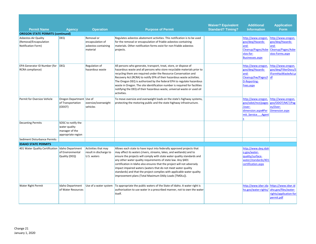|                                                                             |                                                                             |                                                                   |                                                                                                                                                                                                                                                                                                                                                                                                                                                                                                                                                                       | <b>Waiver? Equivalent</b> | <b>Additional</b>                                                                                           | <b>Application</b>                                                                      |
|-----------------------------------------------------------------------------|-----------------------------------------------------------------------------|-------------------------------------------------------------------|-----------------------------------------------------------------------------------------------------------------------------------------------------------------------------------------------------------------------------------------------------------------------------------------------------------------------------------------------------------------------------------------------------------------------------------------------------------------------------------------------------------------------------------------------------------------------|---------------------------|-------------------------------------------------------------------------------------------------------------|-----------------------------------------------------------------------------------------|
| <b>Permit Name</b>                                                          | <b>Agency</b>                                                               | <b>Operation</b>                                                  | <b>Purpose of Permit</b>                                                                                                                                                                                                                                                                                                                                                                                                                                                                                                                                              | <b>Standard? Timing?</b>  | <b>Information</b>                                                                                          | <b>Form</b>                                                                             |
| <b>OREGON STATE PERMITS (continued)</b>                                     |                                                                             |                                                                   |                                                                                                                                                                                                                                                                                                                                                                                                                                                                                                                                                                       |                           |                                                                                                             |                                                                                         |
| <b>Asbestos-Air Quality</b><br>(Removal/Encapsulation<br>Notification Form) | <b>DEQ</b>                                                                  | Removal or<br>encapsulation of<br>asbestos-containing<br>material | Regulates asbestos abatement activities. This notification is to be used<br>for the removal or encapsulation of friable asbestos-containing<br>materials. Other notification forms exist for non-friable asbestos<br>projects.                                                                                                                                                                                                                                                                                                                                        |                           | http://www.oregon.<br>gov/deg/Hazards-<br>and-<br>Cleanup/Pages/Asbe<br>stos-for-<br><b>Businesses.aspx</b> | http://www.oregon.<br>gov/deg/Hazards-<br>and-<br>Cleanup/Pages/Asbe<br>stos-Forms.aspx |
| <b>EPA Generator ID Number (for</b>                                         | <b>DEQ</b>                                                                  | Regulation of                                                     | All persons who generate, transport, treat, store, or dispose of                                                                                                                                                                                                                                                                                                                                                                                                                                                                                                      |                           | http://www.oregon.                                                                                          | http://www.oregon.                                                                      |
| RCRA compliance)                                                            |                                                                             | hazardous waste                                                   | hazardous waste and all persons who store recyclable materials prior to<br>recycling them are required under the Resource Conservation and<br>Recovery Act (RCRA) to notify EPA of their hazardous waste activities.<br>The Oregon DEQ is authorized by the federal EPA to regulate hazardous<br>waste in Oregon. The site identification number is required for facilities<br>notifying the DEQ of their hazardous waste, universal waste or used oil<br>activities.                                                                                                 |                           | gov/deq/Hazards-<br>and-<br>Cleanup/hw/Pages/I<br>D-Reporting-<br>Fees.aspx                                 | gov/deg/FilterDocs/S<br>IFormHazWasteAct.p<br>df                                        |
| Permit for Oversize Vehicle                                                 | Oregon Department Use of<br>of Transportation<br>(ODOT)                     | oversize/overweight<br>vehicles                                   | To move oversize and overweight loads on the state's highway systems,<br>protecting the motoring public and the state highway infrastructure.                                                                                                                                                                                                                                                                                                                                                                                                                         |                           | http://www.oregon.<br>gov/odot/mct/pages<br>/over-<br>dimension.aspx#Per<br>mit Service<br>Agent            | http://www.oregon.<br>gov/ODOT/MCT/Pag<br>es/Over-<br>Dimension.aspx                    |
| <b>Decanting Permits</b>                                                    | SOSC to notify the<br>water quality<br>manager of the<br>appropriate region |                                                                   |                                                                                                                                                                                                                                                                                                                                                                                                                                                                                                                                                                       |                           |                                                                                                             |                                                                                         |
| Sediment Disturbance Permits                                                |                                                                             |                                                                   |                                                                                                                                                                                                                                                                                                                                                                                                                                                                                                                                                                       |                           |                                                                                                             |                                                                                         |
| <b>IDAHO STATE PERMITS</b>                                                  |                                                                             |                                                                   |                                                                                                                                                                                                                                                                                                                                                                                                                                                                                                                                                                       |                           |                                                                                                             |                                                                                         |
| 401 Water Quality Certification Idaho Department                            | of Environmental<br>Quality (DEQ)                                           | Activities that may<br>result in discharge to<br>U.S. waters      | Allows each state to have input into federally approved projects that<br>may affect its waters (rivers, streams, lakes, and wetlands) and to<br>ensure the projects will comply with state water quality standards and<br>any other water quality requirements of state law. Any §401<br>certification in Idaho also ensures that the project will not adversely<br>impact impaired waters (waters that do not meet water quality<br>standards) and that the project complies with applicable water quality<br>improvement plans (Total Maximum DAily Loads [TMDLs]). |                           | http://www.deg.idah<br>o.gov/water-<br>quality/surface-<br>water/standards/401<br>certification.aspx        |                                                                                         |
| <b>Water Right Permit</b>                                                   | Idaho Department<br>of Water Resources                                      |                                                                   | Use of a water system   To appropriate the public waters of the State of Idaho. A water right is<br>authorization to use water in a prescribed manner, not to own the water<br>itself.                                                                                                                                                                                                                                                                                                                                                                                |                           | http://www.idwr.ida<br>ho.gov/water-rights/                                                                 | https://www.idwr.id<br>aho.gov/files/water-<br>rights/application-for<br>permit.pdf     |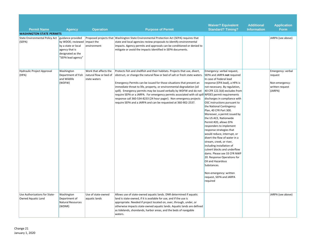|                                                              |                                                                                                                  |                                        |                                                                                                                                                                                                                                                                                                          | <b>Waiver? Equivalent</b>                                                                                                                                                                                                                                                                                                                                                                                                                                                                                                                  | <b>Additional</b>  | <b>Application</b>                                      |
|--------------------------------------------------------------|------------------------------------------------------------------------------------------------------------------|----------------------------------------|----------------------------------------------------------------------------------------------------------------------------------------------------------------------------------------------------------------------------------------------------------------------------------------------------------|--------------------------------------------------------------------------------------------------------------------------------------------------------------------------------------------------------------------------------------------------------------------------------------------------------------------------------------------------------------------------------------------------------------------------------------------------------------------------------------------------------------------------------------------|--------------------|---------------------------------------------------------|
| <b>Permit Name</b>                                           | <b>Agency</b>                                                                                                    | <b>Operation</b>                       | <b>Purpose of Permit</b>                                                                                                                                                                                                                                                                                 | <b>Standard? Timing?</b>                                                                                                                                                                                                                                                                                                                                                                                                                                                                                                                   | <b>Information</b> | <b>Form</b>                                             |
| <b>WASHINGTON STATE PERMITS</b>                              |                                                                                                                  |                                        |                                                                                                                                                                                                                                                                                                          |                                                                                                                                                                                                                                                                                                                                                                                                                                                                                                                                            |                    |                                                         |
| State Environmental Policy Act   guidance provided<br>(SEPA) | by WDOE; reviewed impact the<br>by a state or local<br>agency that is<br>designated as the<br>"SEPA lead agency" | environment                            | Proposed projects that Washington State Environmental Protection Act (SEPA) requires that<br>state and local agencies review proposals to identify environmental<br>impacts. Agency permits and approvals can be conditioned or denied to<br>mitigate or avoid the impacts identified in SEPA documents. |                                                                                                                                                                                                                                                                                                                                                                                                                                                                                                                                            |                    | JARPA (see above)                                       |
| (HPA)                                                        | Department of Fish<br>and Wildlife<br>(WDFW)                                                                     | natural flow or bed of<br>state waters | obstruct, or change the natural flow or bed of salt or fresh state waters.<br>Emergency Permits can be issued for those situations that present an<br>immediate threat to life, property, or environmental degradation (oil<br>spill). Emergency permits may be issued verbally by WDFW and do not       | SEPA and JARPA not required<br>In case of Federal lead<br>response (EPA lead), a HPA is<br>not necessary. By regulation,<br>40 CFR 122.3(d) excludes from                                                                                                                                                                                                                                                                                                                                                                                  |                    | request<br>Non-emergency:<br>written request<br>(JARPA) |
|                                                              |                                                                                                                  |                                        | require SEPA or a JARPA. For emergency permits associated with oil spi<br>response call 360-534-8233 (24 hour pager). Non emergency projects<br>require SEPA and a JARPA and can be requested at 360-902-2537.                                                                                           | II NPDES permit requirements<br>discharges in compliance with<br>OSC instructions pursuant to<br>the National Contingency<br>Plan, 40 CFR Part 300.<br>Moreover, a permit issued by<br>the US ACE, Nationwide<br>Permit #20, allows EPA<br>responders to implement<br>response strategies that<br>would reduce, interrupt, or<br>divert the flow of water in a<br>stream, creek, or river,<br>including installation of<br>culvert blocks and underflow<br>dams. Please see 33 CFR NWP<br>20. Response Operations for<br>Oil and Hazardous |                    |                                                         |
| Use Authorizations for State-<br>Owned Aquatic Land          | Washington<br>Department of<br><b>Natural Resources</b>                                                          | Use of state-owned<br>aquatic lands    | Allows use of state-owned aquatic lands. DNR determined if aquatic<br>land is state-owned, if it is available for use, and if the use is<br>appropriate. Needed if project located on, over, through, under, or                                                                                          | Substances.<br>Non-emergency: written<br>request, SEPA and JARPA<br>required                                                                                                                                                                                                                                                                                                                                                                                                                                                               |                    | JARPA (see above)                                       |
|                                                              | (WDNR)                                                                                                           |                                        | otherwise impacts state-owned aquatic lands. Aquatic lands are defined<br>as tidelands, shorelands, harbor areas, and the beds of navigable<br>waters.                                                                                                                                                   |                                                                                                                                                                                                                                                                                                                                                                                                                                                                                                                                            |                    |                                                         |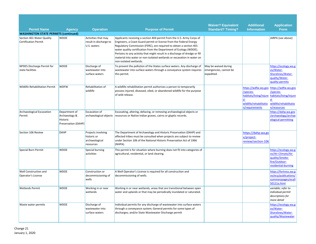|                                                          |                                                                   |                                                                  |                                                                                                                                                                                                                                                                                                                                                                                                                                                                            | <b>Waiver? Equivalent</b>                                    | <b>Additional</b>                                      | <b>Application</b>                                                                                                                             |
|----------------------------------------------------------|-------------------------------------------------------------------|------------------------------------------------------------------|----------------------------------------------------------------------------------------------------------------------------------------------------------------------------------------------------------------------------------------------------------------------------------------------------------------------------------------------------------------------------------------------------------------------------------------------------------------------------|--------------------------------------------------------------|--------------------------------------------------------|------------------------------------------------------------------------------------------------------------------------------------------------|
| <b>Permit Name</b>                                       | <b>Agency</b>                                                     | <b>Operation</b>                                                 | <b>Purpose of Permit</b>                                                                                                                                                                                                                                                                                                                                                                                                                                                   | <b>Standard? Timing?</b>                                     | <b>Information</b>                                     | <b>Form</b>                                                                                                                                    |
| <b>WASHINGTON STATE PERMITS (continued)</b>              |                                                                   |                                                                  |                                                                                                                                                                                                                                                                                                                                                                                                                                                                            |                                                              |                                                        |                                                                                                                                                |
| Section 401 Water Quality<br><b>Certification Permit</b> | <b>WDOE</b>                                                       | Activities that may<br>result in discharge to<br>U.S. waters     | Applicants receiving a section 404 permit from the U.S. Army Corps of<br>Engineers, a Coast Guard permit or license from the Federal Energy<br>Regulatory Commission (FERC), are required to obtain a section 401<br>water quality certification from the Department of Ecology (WDOE).<br>Pertains to any activity that might result in a discharge of dredge or fill<br>material into water or non-isolated wetlands or excavation in water on<br>non-isolated wetlands. |                                                              |                                                        | JARPA (see above)                                                                                                                              |
| <b>NPDES Discharge Permit for</b><br>state facilities    | <b>WDOE</b>                                                       | Discharge of<br>wastewater into<br>surface waters                | To prevent the pollution of the States surface waters. Any discharge of<br>wastewater into surface waters through a conveyance system requires<br>this permit.                                                                                                                                                                                                                                                                                                             | May be waived during<br>emergencies, cannot be<br>expedited. |                                                        | https://ecology.wa.g<br>ov/Water-<br>Shorelines/Water-<br>quality/Water-<br>quality-permits                                                    |
| <b>Wildlife Rehabilitation Permit</b>                    | <b>WDFW</b>                                                       | Rehabilitation of<br>wildlife                                    | A wildlife rehabilitation permit authorizes a person to temporarily<br>possess injured, diseased, oiled, or abandoned wildlife for the purpose<br>of wild release.                                                                                                                                                                                                                                                                                                         |                                                              | /species-<br>wildlife/rehabilitatio<br>n/requirements  | https://wdfw.wa.gov https://wdfw.wa.gov<br>/species-<br>habitats/living/injure habitats/living/injure<br>wildlife/rehabilitatio<br>n/resources |
| <b>Archaeological Excavation</b><br>Permit               | Department of<br>Archaeology &<br>Historic<br>Preservation (DAHP) | Excavation of<br>archaeological objects                          | Excavating, altering, defacing, or removing archaeological objects or<br>resources or Native Indian graves, cairns or glyptic records.                                                                                                                                                                                                                                                                                                                                     |                                                              |                                                        | https://dahp.wa.gov<br>/archaeology/archae<br>ological-permitting                                                                              |
| Section 106 Review                                       | <b>DAHP</b>                                                       | Projects involving<br>historic or<br>archaeological<br>resources | The Department of Archaeology and Historic Preservation (DAHP) and<br>affected tribes must be consulted when projects are subject to review<br>under Section 106 of the National Historic Preservation Act of 1966<br>(NHPA).                                                                                                                                                                                                                                              |                                                              | https://dahp.wa.go<br>v/project-<br>review/section-106 |                                                                                                                                                |
| Special Burn Permit                                      | <b>WDOE</b>                                                       | Special burning<br>activities                                    | This permit is for situation where burning does not fit into categories of<br>agricultural, residential, or land clearing.                                                                                                                                                                                                                                                                                                                                                 |                                                              |                                                        | https://ecology.wa.g<br>ov/Air-Climate/Air-<br>quality/Smoke-<br>fire/Outdoor-<br>residential-burning                                          |
| Well Construction and<br>Operator's License              | <b>WDOE</b>                                                       | Construction or<br>decommissioning of<br>wells                   | A Well Operator's License is required for all construction and<br>decommissioning of wells.                                                                                                                                                                                                                                                                                                                                                                                |                                                              |                                                        | https://fortress.wa.g<br>ov/ecy/publications/<br>summarypages/ecy0<br>50121a.html                                                              |
| <b>Wetlands Permit</b>                                   | <b>WDOE</b>                                                       | Working in or near<br>wetlands                                   | Working in or near wetlands, areas that are transitional between open<br>water and uplands or that may be periodically inundated or saturated.                                                                                                                                                                                                                                                                                                                             |                                                              |                                                        | variable; refer to<br>individual permit<br>descriptions for<br>more detail                                                                     |
| Waste water permits                                      | <b>WDOE</b>                                                       | Discharge of<br>wastewater into<br>surface waters                | Individual permits for any discharge of wastewater into surface waters<br>through a conveyance system; General permits for some types of<br>discharges; and/or State Wastewater Discharge permit                                                                                                                                                                                                                                                                           |                                                              |                                                        | https://ecology.wa.g<br>ov/Water-<br>Shorelines/Water-<br>quality/Wastewater                                                                   |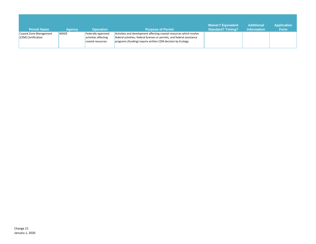| <b>Permit Name</b>                             | <b>Agency</b> | <b>Operation</b>                                                | <b>Purpose of Permit</b>                                                                                                                                                                                       | <b>Waiver? Equivalent</b><br><b>Standard? Timing?</b> | <b>Additional</b><br><b>Information</b> | <b>Application</b><br><b>Form</b> |
|------------------------------------------------|---------------|-----------------------------------------------------------------|----------------------------------------------------------------------------------------------------------------------------------------------------------------------------------------------------------------|-------------------------------------------------------|-----------------------------------------|-----------------------------------|
| Coastal Zone Management<br>(CZM) Certification | <b>WDOE</b>   | Federally-approved<br>activities affecting<br>coastal resources | Activities and development affecting coastal resources which involve<br>federal activities, federal licenses or permits, and federal assistance<br>programs (funding) require written CZM decision by Ecology. |                                                       |                                         |                                   |